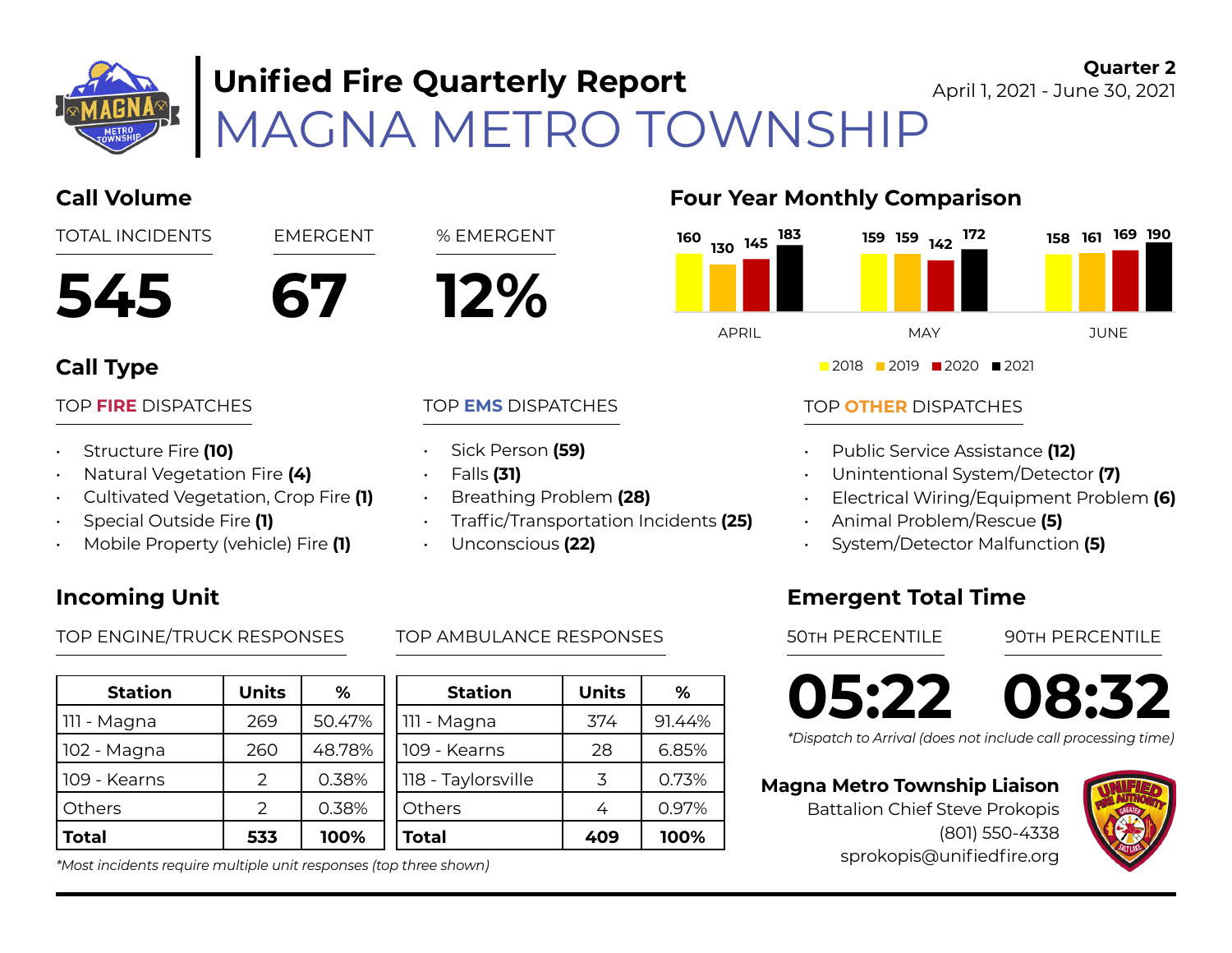

# **Unified Fire Quarterly Report**

#### **Quarter 2** April 1, 2021 - June 30, 2021

MAGNA METRO TOWNSHIP



- Cultivated Vegetation, Crop Fire **(1)**
- Special Outside Fire **(1)**
- Mobile Property (vehicle) Fire **(1)**

### **Incoming Unit**

TOP ENGINE/TRUCK RESPONSES TOP AMBULANCE RESPONSES 50TH PERCENTILE 90TH PERCENTILE

| <b>Station</b> | <b>Units</b>  | ℅      |     |
|----------------|---------------|--------|-----|
| 111 - Magna    | 269           | 50.47% |     |
| 102 - Magna    | 260           | 48.78% | 109 |
| 109 - Kearns   | $\mathcal{P}$ | 0.38%  | 118 |
| Others         | $\mathcal{P}$ | 0.38%  | Otł |
| <b>Total</b>   | 533           | 100%   | 'n. |

#### *\*Most incidents require multiple unit responses (top three shown)*



#### TOP **OTHER** DISPATCHES

- Public Service Assistance **(12)**
- Unintentional System/Detector **(7)**
- Electrical Wiring/Equipment Problem **(6)**
- Animal Problem/Rescue **(5)**
- System/Detector Malfunction **(5)**

### **Emergent Total Time**

**05:22 08:32**

*\*Dispatch to Arrival (does not include call processing time)*

#### **Magna Metro Township Liaison**

Battalion Chief Steve Prokopis (801) 550-4338 sprokopis@unifiedfire.org



• Unconscious **(22)**

• Breathing Problem **(28)** 

• Traffic/Transportation Incidents **(25)** 

| ℅      | <b>Station</b>     | <b>Units</b> | ℅      |
|--------|--------------------|--------------|--------|
| 50.47% | 111 - Magna        | 374          | 91.44% |
| 48.78% | 109 - Kearns       | 28           | 6.85%  |
| 0.38%  | 118 - Taylorsville | 3            | 0.73%  |
| 0.38%  | Others             | 4            | 0.97%  |
| 100%   | Total              | 409          | 100%   |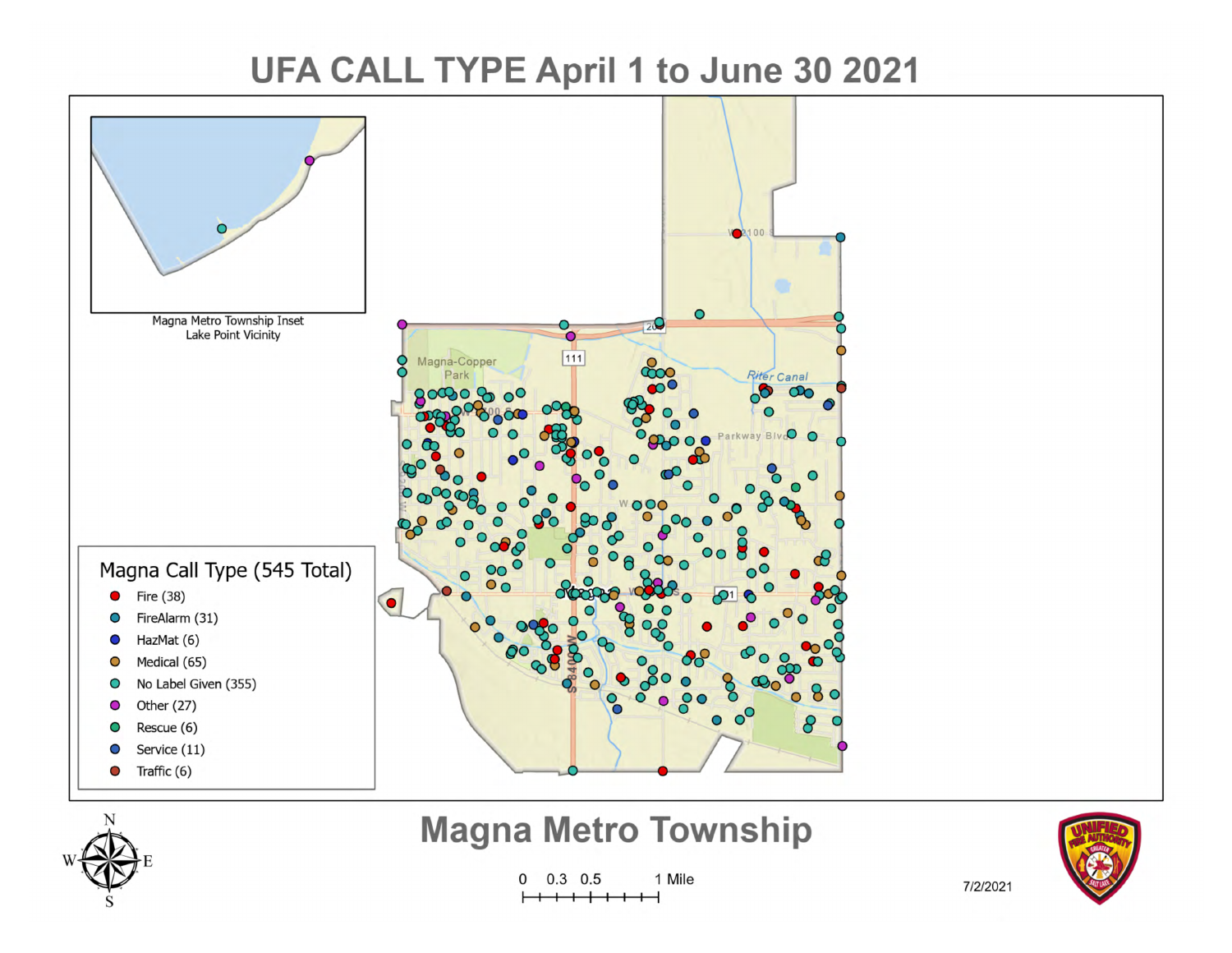## UFA CALL TYPE April 1 to June 30 2021





## **Magna Metro Township**

1 Mile  $\mathbf{0}$  $0.3 \quad 0.5$ 



7/2/2021